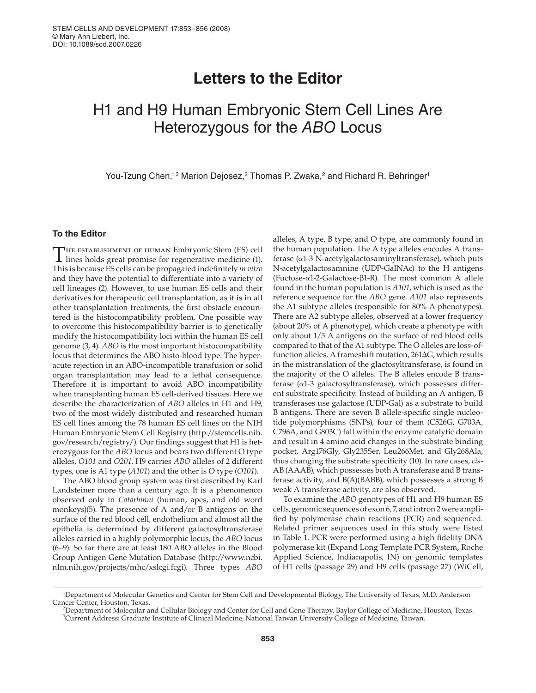# **Letters to the Editor**

# H1 and H9 Human Embryonic Stem Cell Lines Are Heterozygous for the ABO Locus

You-Tzung Chen,<sup>1,3</sup> Marion Dejosez,<sup>2</sup> Thomas P. Zwaka,<sup>2</sup> and Richard R. Behringer<sup>1</sup>

## **To the Editor**

THE ESTABLISHMENT OF HUMAN Embryonic Stem (ES) cell lines holds great promise for regenerative medicine (1). This is because ES cells can be propagated indefinitely *in vitro* and they have the potential to differentiate into a variety of cell lineages (2). However, to use human ES cells and their derivatives for therapeutic cell transplantation, as it is in all other transplantation treatments, the first obstacle encountered is the histocompatibility problem. One possible way to overcome this histocompatibility barrier is to genetically modify the histocompatibility loci within the human ES cell genome (3, 4). *ABO* is the most important histocompatibility locus that determines the ABO histo-blood type. The hyperacute rejection in an ABO-incompatible transfusion or solid organ transplantation may lead to a lethal consequence. Therefore it is important to avoid ABO incompatibility when transplanting human ES cell-derived tissues. Here we describe the characterization of *ABO* alleles in H1 and H9, two of the most widely distributed and researched human ES cell lines among the 78 human ES cell lines on the NIH Human Embryonic Stem Cell Registry (http://stemcells.nih. gov/research/registry/). Our findings suggest that H1 is heterozygous for the *ABO* locus and bears two different O type alleles, *O101* and *O201*. H9 carries *ABO* alleles of 2 different types, one is A1 type (*A101*) and the other is O type (*O101*).

The ABO blood group system was first described by Karl Landsteiner more than a century ago. It is a phenomenon observed only in *Catarhinni* (human, apes, and old word monkeys)(5). The presence of A and/or B antigens on the surface of the red blood cell, endothelium and almost all the epithelia is determined by different galactosyltransferase alleles carried in a highly polymorphic locus, the *ABO* locus (6–9). So far there are at least 180 ABO alleles in the Blood Group Antigen Gene Mutation Database (http://www.ncbi. nlm.nih.gov/projects/mhc/xslcgi.fcgi). Three types *ABO*

alleles, A type, B type, and O type, are commonly found in the human population. The A type alleles encodes A transferase (α1-3 N-acetylgalactosaminyltransferase), which puts N-acetylgalactosamnine (UDP-GalNAc) to the H antigens (Fuctose-α1-2-Galactose-β1-R). The most common A allele found in the human population is *A101*, which is used as the reference sequence for the *ABO* gene. *A101* also represents the A1 subtype alleles (responsible for 80% A phenotypes). There are A2 subtype alleles, observed at a lower frequency (about 20% of A phenotype), which create a phenotype with only about 1/5 A antigens on the surface of red blood cells compared to that of the A1 subtype. The O alleles are loss-offunction alleles. A frameshift mutation, 261ΔG, which results in the mistranslation of the glactosyltransferase, is found in the majority of the O alleles. The B alleles encode B transferase (α1-3 galactosyltransferase), which possesses different substrate specificity. Instead of building an A antigen, B transferases use galactose (UDP-Gal) as a substrate to build B antigens. There are seven B allele-specific single nucleotide polymorphisms (SNPs), four of them (C526G, G703A, C796A, and G803C) fall within the enzyme catalytic domain and result in 4 amino acid changes in the substrate binding pocket, Arg176Gly, Gly235Ser, Leu266Met, and Gly268Ala, thus changing the substrate specificity (10). In rare cases, *cis*-AB (AAAB), which possesses both A transferase and B transferase activity, and B(A)(BABB), which possesses a strong B weak A transferase activity, are also observed.

To examine the *ABO* genotypes of H1 and H9 human ES cells, genomic sequences of exon 6, 7, and intron 2 were amplified by polymerase chain reactions (PCR) and sequenced. Related primer sequences used in this study were listed in Table 1. PCR were performed using a high fidelity DNA polymerase kit (Expand Long Template PCR System, Roche Applied Science, Indianapolis, IN) on genomic templates of H1 cells (passage 29) and H9 cells (passage 27) (WiCell,

<sup>1</sup> Department of Molecular Genetics and Center for Stem Cell and Developmental Biology, The University of Texas, M.D. Anderson Cancer Center, Houston, Texas. <sup>2</sup>

<sup>&</sup>lt;sup>2</sup>Department of Molecular and Cellular Biology and Center for Cell and Gene Therapy, Baylor College of Medicine, Houston, Texas. 3 Current Address: Graduate Institute of Clinical Medcine, National Taiwan University College of Medicine, Taiwan.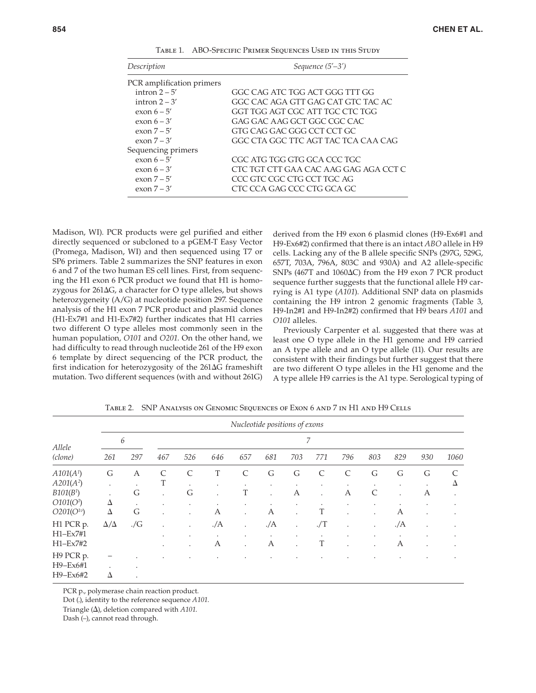| Description               | Sequence $(5'-3')$                    |  |  |  |  |  |
|---------------------------|---------------------------------------|--|--|--|--|--|
| PCR amplification primers |                                       |  |  |  |  |  |
| intron $2 - 5'$           | GGC CAG ATC TGG ACT GGG TTT GG        |  |  |  |  |  |
| intron $2 - 3'$           | GGC CAC AGA GTT GAG CAT GTC TAC AC    |  |  |  |  |  |
| exon $6-5'$               | GGT TGG AGT CGC ATT TGC CTC TGG       |  |  |  |  |  |
| exon $6 - 3'$             | GAG GAC AAG GCT GGC CGC CAC           |  |  |  |  |  |
| exon $7-5'$               | GTG CAG GAC GGG CCT CCT GC            |  |  |  |  |  |
| exon $7 - 3'$             | GGC CTA GGC TTC AGT TAC TCA CAA CAG   |  |  |  |  |  |
| Sequencing primers        |                                       |  |  |  |  |  |
| exon $6-5'$               | CGC ATG TGG GTG GCA CCC TGC           |  |  |  |  |  |
| exon $6 - 3'$             | CTC TGT CTT GAA CAC AAG GAG AGA CCT C |  |  |  |  |  |
| exon $7-5'$               | CCC GTC CGC CTG CCT TGC AG            |  |  |  |  |  |
| exon $7-3'$               | CTC CCA GAG CCC CTG GCA GC            |  |  |  |  |  |

TABLE 1. ABO-SPECIFIC PRIMER SEQUENCES USED IN THIS STUDY

Madison, WI). PCR products were gel purified and either directly sequenced or subcloned to a pGEM-T Easy Vector (Promega, Madison, WI) and then sequenced using T7 or SP6 primers. Table 2 summarizes the SNP features in exon 6 and 7 of the two human ES cell lines. First, from sequencing the H1 exon 6 PCR product we found that H1 is homozygous for 261ΔG, a character for O type alleles, but shows heterozygeneity (A/G) at nucleotide position 297. Sequence analysis of the H1 exon 7 PCR product and plasmid clones (H1-Ex7#1 and H1-Ex7#2) further indicates that H1 carries two different O type alleles most commonly seen in the human population, *O101* and *O201*. On the other hand, we had difficulty to read through nucleotide 261 of the H9 exon 6 template by direct sequencing of the PCR product, the first indication for heterozygosity of the  $261\Delta G$  frameshift mutation. Two different sequences (with and without 261G)

derived from the H9 exon 6 plasmid clones (H9-Ex6#1 and H9-Ex6#2) confirmed that there is an intact *ABO* allele in H9 cells. Lacking any of the B allele specific SNPs (297G, 529G, 657T, 703A, 796A, 803C and 930A) and A2 allele-specific SNPs (467T and 1060ΔC) from the H9 exon 7 PCR product sequence further suggests that the functional allele H9 carrying is A1 type (*A101*). Additional SNP data on plasmids containing the H9 intron 2 genomic fragments (Table 3, H9-In2#1 and H9-In2#2) confirmed that H9 bears *A101* and *O101* alleles.

Previously Carpenter et al. suggested that there was at least one O type allele in the H1 genome and H9 carried an A type allele and an O type allele (11). Our results are consistent with their findings but further suggest that there are two different O type alleles in the H1 genome and the A type allele H9 carries is the A1 type. Serological typing of

| Allele<br>(clone)      | Nucleotide positions of exons |            |         |                      |           |                      |                |                           |                |              |                           |      |     |      |
|------------------------|-------------------------------|------------|---------|----------------------|-----------|----------------------|----------------|---------------------------|----------------|--------------|---------------------------|------|-----|------|
|                        | 6                             |            | 7       |                      |           |                      |                |                           |                |              |                           |      |     |      |
|                        | 261                           | 297        | 467     | 526                  | 646       | 657                  | 681            | 703                       | 771            | 796          | 803                       | 829  | 930 | 1060 |
| A101(A <sup>1</sup> )  | G                             | A          | C       | $\mathcal{C}$        | T         | $\mathcal{C}$        | G              | G                         | C              | C            | G                         | G    | G   | C    |
| $A201(A^2)$            | ٠                             | ٠          | T       | ٠                    | ٠         | $\bullet$            | $\bullet$      | ٠                         | ٠              | $\bullet$    | ٠                         | ٠    |     | Δ    |
| B101(B <sup>1</sup> )  |                               | G          | $\cdot$ | G                    | $\bullet$ | T                    | $\bullet$      | А                         | $\cdot$        | А            | C                         |      | А   |      |
| O101(O <sup>1</sup> )  | Δ                             | $\bullet$  | ٠       | ٠                    | ٠         | ٠                    | $\bullet$      | ٠                         |                | $\bullet$    | ٠                         |      |     |      |
| $O201(O^{1v})$         | Δ                             | G          | $\cdot$ | $\ddot{\phantom{0}}$ | А         | $\bullet$            | А              | $\cdot$                   | T              | $\bullet$    | ٠                         | А    | ٠   |      |
| H1 PCR p.              | $\Delta/\Delta$               | $\sqrt{G}$ |         | $\ddot{\phantom{0}}$ | ./A       | $\ddot{\phantom{0}}$ | . /A           | $\bullet$                 | $./\mathrm{T}$ | ٠            | $\ddot{\phantom{0}}$      | . /A | ٠   | ٠    |
| $H1-Ex7#1$<br>H1-Ex7#2 |                               |            | ٠       | ٠                    | ٠<br>А    | $\bullet$            | $\bullet$<br>А | ٠<br>$\ddot{\phantom{0}}$ | T              | ٠<br>$\cdot$ | ٠<br>$\ddot{\phantom{a}}$ | А    |     |      |
| H9 PCR p.              |                               |            |         |                      |           |                      |                |                           |                |              |                           |      |     |      |
| H9-Ex6#1<br>H9-Ex6#2   | Δ                             |            |         |                      |           |                      |                |                           |                |              |                           |      |     |      |

Table 2. SNP Analysis on Genomic Sequences of Exon 6 and 7 in H1 and H9 Cells

PCR p., polymerase chain reaction product.

Dot (.), identity to the reference sequence *A101*.

Triangle (Δ), deletion compared with *A101*.

Dash (–), cannot read through.